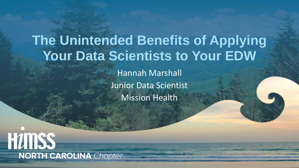# **The Unintended Benefits of Applying Your Data Scientists to Your EDW**

Hannah Marshall Junior Data Scientist Mission Health

**HUMSS NORTH CAROLINA** Chapter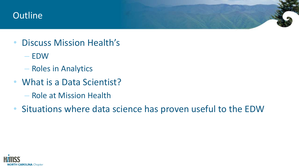#### **Outline**

- Discuss Mission Health's
	- EDW
	- Roles in Analytics
- What is a Data Scientist?
	- Role at Mission Health
- Situations where data science has proven useful to the EDW

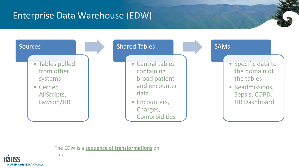## Enterprise Data Warehouse (EDW)



#### The EDW is a **sequence of transformations** on



data.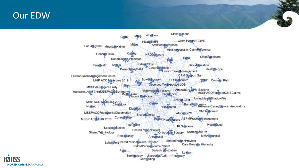#### Our EDW



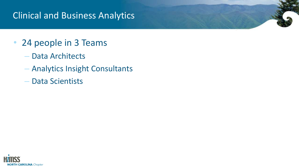### Clinical and Business Analytics

## • 24 people in 3 Teams

- Data Architects
- Analytics Insight Consultants
- Data Scientists

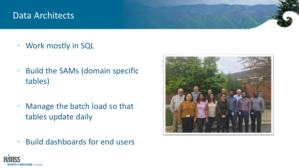#### Data Architects

- Work mostly in SQL
- Build the SAMs (domain specific tables)
- Manage the batch load so that tables update daily
- Build dashboards for end users



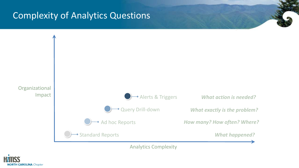#### Complexity of Analytics Questions



Analytics Complexity

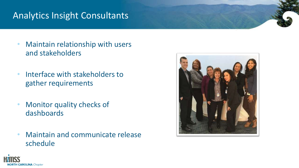#### Analytics Insight Consultants

- Maintain relationship with users and stakeholders
- Interface with stakeholders to gather requirements
- Monitor quality checks of dashboards
- Maintain and communicate release schedule



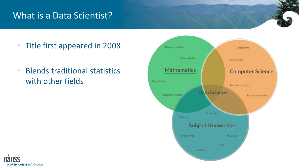#### What is a Data Scientist?

- Title first appeared in 2008
- Blends traditional statistics with other fields



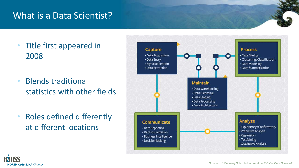#### What is a Data Scientist?

- Title first appeared in 2008
- Blends traditional statistics with other fields
- Roles defined differently at different locations



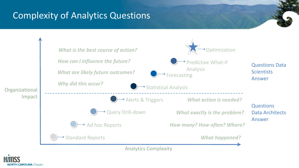### Complexity of Analytics Questions



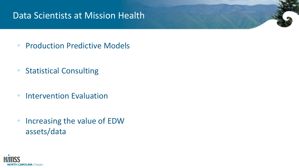#### Data Scientists at Mission Health

- Production Predictive Models
- Statistical Consulting
- Intervention Evaluation
- Increasing the value of EDW assets/data

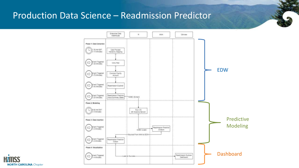#### Production Data Science – Readmission Predictor



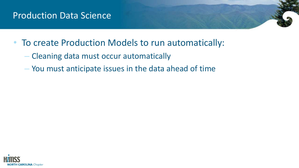#### Production Data Science

- To create Production Models to run automatically:
	- Cleaning data must occur automatically
	- You must anticipate issues in the data ahead of time

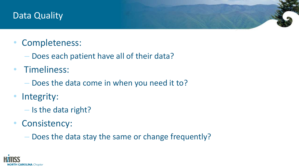#### Data Quality

## • Completeness:

- Does each patient have all of their data?
- Timeliness:
	- Does the data come in when you need it to?
- Integrity:
	- Is the data right?
- Consistency:
	- Does the data stay the same or change frequently?

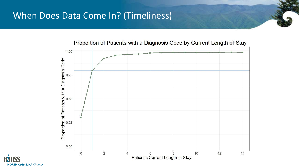#### When Does Data Come In? (Timeliness)



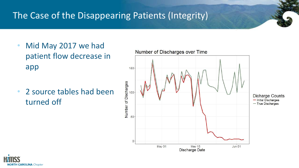## The Case of the Disappearing Patients (Integrity)

- Mid May 2017 we had patient flow decrease in app
- 2 source tables had been turned off



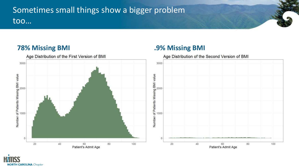#### Sometimes small things show a bigger problem too…







**NORTH CAROLINA** Chapter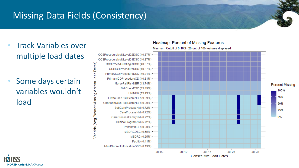## Missing Data Fields (Consistency)

Variable (Avg Percent Missing Across Load Dates)

- Track Variables over multiple load dates
- Some days certain variables wouldn't load

CCSProcedureMultiLevel02DSC (40.37%) CCSProcedureMultiLevel01DSC (40.37%) CCSProcedureSingleDSC (40.37%) CCSICDProcedureDSC (40.37%) PrimaryICDProcedureDSC (40.31%) -PrimaryICDProcedureCD (40.31%) MorseFallRiskNBR (13.74%) BMIClassDSC (13.49%) BMINBR (13.49%) ElixhauserRiskScoreNBR (9.99%) CharlsonDeyoRiskScoreNBR (9.99%) SubCareProcessNM (6.72%) CareProcessNM (6.72%) CareProcessFamilyNM (6.72%) ClinicalProgramNM (6.72%) PaitentZipCD (0.90%) MSDRGDSC (0.55%) MSDRG (0.55%) Facility (0.41%) AdmitNurseUnitLocationDSC (0.19%)

#### **Heatmap: Percent of Missing Features**

Minimum Cutoff of 0.10%: 20 out of 105 features displayed



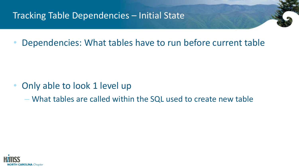#### Tracking Table Dependencies – Initial State

• Dependencies: What tables have to run before current table

- Only able to look 1 level up
	- What tables are called within the SQL used to create new table

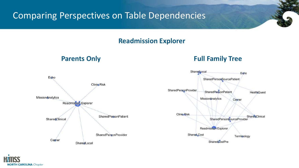#### Comparing Perspectives on Table Dependencies

#### **Readmission Explorer**

#### **Parents Only <b>Full Family Tree**



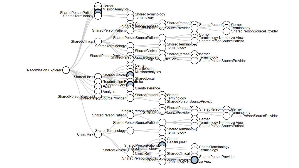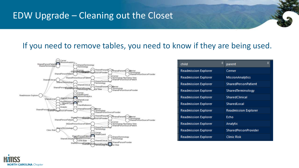#### EDW Upgrade – Cleaning out the Closet

#### If you need to remove tables, you need to know if they are being used.



| child                       | parent                      |
|-----------------------------|-----------------------------|
| <b>Readmission Explorer</b> | Cerner                      |
| <b>Readmission Explorer</b> | <b>MissionAnalytics</b>     |
| <b>Readmission Explorer</b> | <b>SharedPersonPatient</b>  |
| <b>Readmission Explorer</b> | SharedTerminology           |
| <b>Readmission Explorer</b> | SharedClinical              |
| <b>Readmission Explorer</b> | SharedLocal                 |
| <b>Readmission Explorer</b> | <b>Readmission Explorer</b> |
| <b>Readmission Explorer</b> | Echo                        |
| <b>Readmission Explorer</b> | Analytic                    |
| <b>Readmission Explorer</b> | <b>SharedPersonProvider</b> |
| <b>Readmission Explorer</b> | <b>Clinic Risk</b>          |

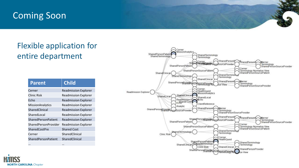#### Coming Soon

#### Flexible application for entire department

| <b>Parent</b>              | <b>Child</b>                |
|----------------------------|-----------------------------|
| Cerner                     | <b>Readmission Explorer</b> |
| Clinic Risk                | <b>Readmission Explorer</b> |
| Echo                       | <b>Readmission Explorer</b> |
| MissionAnalytics           | <b>Readmission Explorer</b> |
| SharedClinical             | <b>Readmission Explorer</b> |
| SharedLocal                | <b>Readmission Explorer</b> |
| SharedPersonPatient        | <b>Readmission Explorer</b> |
| SharedPersonProvider       | <b>Readmission Explorer</b> |
| <b>SharedCostPre</b>       | <b>Shared Cost</b>          |
| Cerner                     | SharedClinical              |
| <b>SharedPersonPatient</b> | SharedClinical              |
|                            |                             |